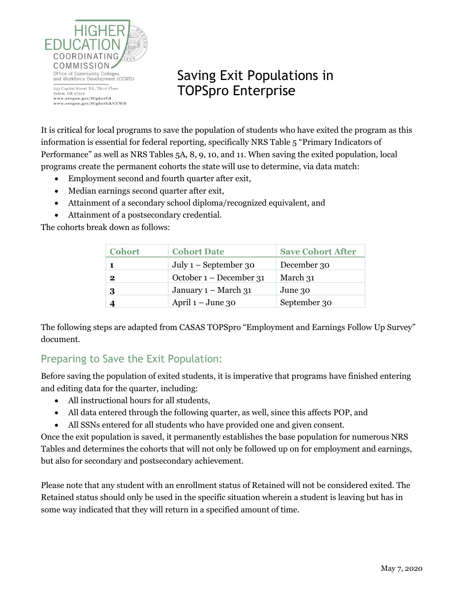

## Saving Exit Populations in TOPSpro Enterprise

It is critical for local programs to save the population of students who have exited the program as this information is essential for federal reporting, specifically NRS Table 5 "Primary Indicators of Performance" as well as NRS Tables 5A, 8, 9, 10, and 11. When saving the exited population, local programs create the permanent cohorts the state will use to determine, via data match:

- Employment second and fourth quarter after exit,
- Median earnings second quarter after exit,
- Attainment of a secondary school diploma/recognized equivalent, and
- Attainment of a postsecondary credential.

The cohorts break down as follows:

| <b>Cohort</b> | <b>Cohort Date</b>      | <b>Save Cohort After</b> |
|---------------|-------------------------|--------------------------|
|               | July $1$ – September 30 | December 30              |
| $\bf{2}$      | October 1 – December 31 | March 31                 |
| 3             | January $1 - March 31$  | June 30                  |
|               | April $1 -$ June 30     | September 30             |

The following steps are adapted from CASAS TOPSpro "Employment and Earnings Follow Up Survey" document.

## Preparing to Save the Exit Population:

Before saving the population of exited students, it is imperative that programs have finished entering and editing data for the quarter, including:

- All instructional hours for all students,
- All data entered through the following quarter, as well, since this affects POP, and
- All SSNs entered for all students who have provided one and given consent.

Once the exit population is saved, it permanently establishes the base population for numerous NRS Tables and determines the cohorts that will not only be followed up on for employment and earnings, but also for secondary and postsecondary achievement.

Please note that any student with an enrollment status of Retained will not be considered exited. The Retained status should only be used in the specific situation wherein a student is leaving but has in some way indicated that they will return in a specified amount of time.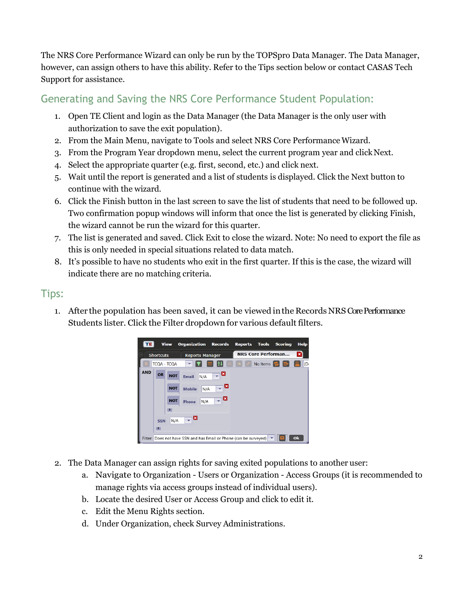The NRS Core Performance Wizard can only be run by the TOPSpro Data Manager. The Data Manager, however, can assign others to have this ability. Refer to the Tips section below or contact CASAS Tech Support for assistance.

## Generating and Saving the NRS Core Performance Student Population:

- 1. Open TE Client and login as the Data Manager (the Data Manager is the only user with authorization to save the exit population).
- 2. From the Main Menu, navigate to Tools and select NRS Core PerformanceWizard.
- 3. From the Program Year dropdown menu, select the current program year and clickNext.
- 4. Select the appropriate quarter (e.g. first, second, etc.) and click next.
- 5. Wait until the report is generated and a list of students is displayed. Click the Next button to continue with the wizard.
- 6. Click the Finish button in the last screen to save the list of students that need to be followed up. Two confirmation popup windows will inform that once the list is generated by clicking Finish, the wizard cannot be run the wizard for this quarter.
- 7. The list is generated and saved. Click Exit to close the wizard. Note: No need to export the file as this is only needed in special situations related to data match.
- 8. It's possible to have no students who exit in the first quarter. If this is the case, the wizard will indicate there are no matching criteria.

## Tips:

1. After the population has been saved, it can be viewed in the Records NRS Core Performance Students lister. Click the Filter dropdown for various default filters.



- 2. The Data Manager can assign rights for saving exited populations to another user:
	- a. Navigate to Organization Users or Organization Access Groups (it is recommended to manage rights via access groups instead of individual users).
	- b. Locate the desired User or Access Group and click to edit it.
	- c. Edit the Menu Rights section.
	- d. Under Organization, check Survey Administrations.